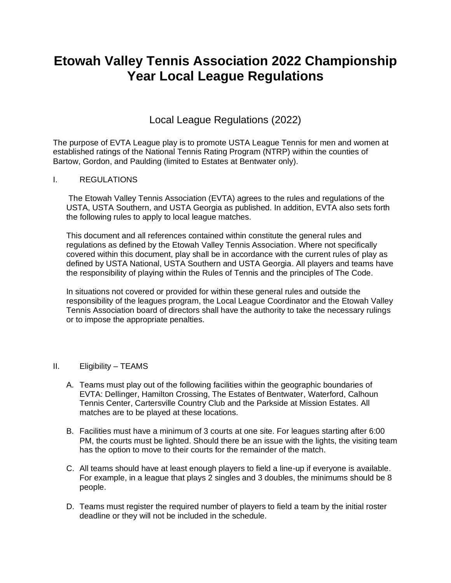# **Etowah Valley Tennis Association 2022 Championship Year Local League Regulations**

# Local League Regulations (2022)

The purpose of EVTA League play is to promote USTA League Tennis for men and women at established ratings of the National Tennis Rating Program (NTRP) within the counties of Bartow, Gordon, and Paulding (limited to Estates at Bentwater only).

# I. REGULATIONS

The Etowah Valley Tennis Association (EVTA) agrees to the rules and regulations of the USTA, USTA Southern, and USTA Georgia as published. In addition, EVTA also sets forth the following rules to apply to local league matches.

This document and all references contained within constitute the general rules and regulations as defined by the Etowah Valley Tennis Association. Where not specifically covered within this document, play shall be in accordance with the current rules of play as defined by USTA National, USTA Southern and USTA Georgia. All players and teams have the responsibility of playing within the Rules of Tennis and the principles of The Code.

In situations not covered or provided for within these general rules and outside the responsibility of the leagues program, the Local League Coordinator and the Etowah Valley Tennis Association board of directors shall have the authority to take the necessary rulings or to impose the appropriate penalties.

#### II. Eligibility – TEAMS

- A. Teams must play out of the following facilities within the geographic boundaries of EVTA: Dellinger, Hamilton Crossing, The Estates of Bentwater, Waterford, Calhoun Tennis Center, Cartersville Country Club and the Parkside at Mission Estates. All matches are to be played at these locations.
- B. Facilities must have a minimum of 3 courts at one site. For leagues starting after 6:00 PM, the courts must be lighted. Should there be an issue with the lights, the visiting team has the option to move to their courts for the remainder of the match.
- C. All teams should have at least enough players to field a line-up if everyone is available. For example, in a league that plays 2 singles and 3 doubles, the minimums should be 8 people.
- D. Teams must register the required number of players to field a team by the initial roster deadline or they will not be included in the schedule.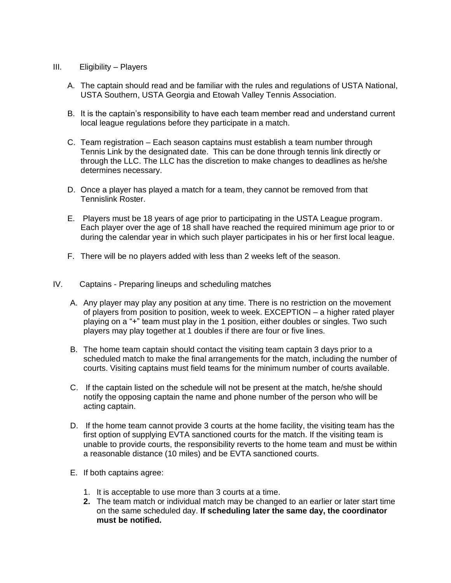#### III. Eligibility – Players

- A. The captain should read and be familiar with the rules and regulations of USTA National, USTA Southern, USTA Georgia and Etowah Valley Tennis Association.
- B. It is the captain's responsibility to have each team member read and understand current local league regulations before they participate in a match.
- C. Team registration Each season captains must establish a team number through Tennis Link by the designated date. This can be done through tennis link directly or through the LLC. The LLC has the discretion to make changes to deadlines as he/she determines necessary.
- D. Once a player has played a match for a team, they cannot be removed from that Tennislink Roster.
- E. Players must be 18 years of age prior to participating in the USTA League program. Each player over the age of 18 shall have reached the required minimum age prior to or during the calendar year in which such player participates in his or her first local league.
- F. There will be no players added with less than 2 weeks left of the season.
- IV. Captains Preparing lineups and scheduling matches
	- A. Any player may play any position at any time. There is no restriction on the movement of players from position to position, week to week. EXCEPTION – a higher rated player playing on a "+" team must play in the 1 position, either doubles or singles. Two such players may play together at 1 doubles if there are four or five lines.
	- B. The home team captain should contact the visiting team captain 3 days prior to a scheduled match to make the final arrangements for the match, including the number of courts. Visiting captains must field teams for the minimum number of courts available.
	- C. If the captain listed on the schedule will not be present at the match, he/she should notify the opposing captain the name and phone number of the person who will be acting captain.
	- D. If the home team cannot provide 3 courts at the home facility, the visiting team has the first option of supplying EVTA sanctioned courts for the match. If the visiting team is unable to provide courts, the responsibility reverts to the home team and must be within a reasonable distance (10 miles) and be EVTA sanctioned courts.
	- E. If both captains agree:
		- 1. It is acceptable to use more than 3 courts at a time.
		- **2.** The team match or individual match may be changed to an earlier or later start time on the same scheduled day. **If scheduling later the same day, the coordinator must be notified.**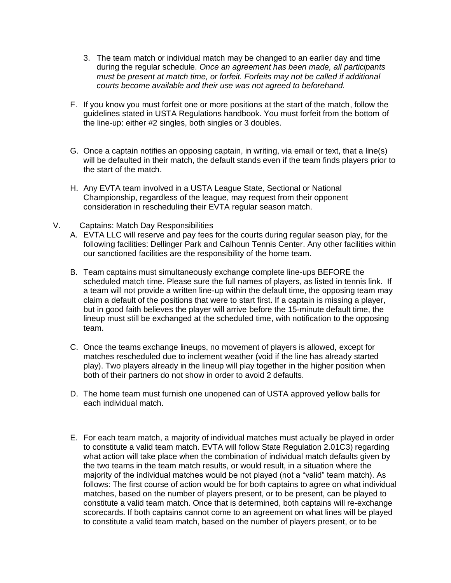- 3. The team match or individual match may be changed to an earlier day and time during the regular schedule. *Once an agreement has been made, all participants must be present at match time, or forfeit. Forfeits may not be called if additional courts become available and their use was not agreed to beforehand.*
- F. If you know you must forfeit one or more positions at the start of the match, follow the guidelines stated in USTA Regulations handbook. You must forfeit from the bottom of the line-up: either #2 singles, both singles or 3 doubles.
- G. Once a captain notifies an opposing captain, in writing, via email or text, that a line(s) will be defaulted in their match, the default stands even if the team finds players prior to the start of the match.
- H. Any EVTA team involved in a USTA League State, Sectional or National Championship, regardless of the league, may request from their opponent consideration in rescheduling their EVTA regular season match.
- V. Captains: Match Day Responsibilities
	- A. EVTA LLC will reserve and pay fees for the courts during regular season play, for the following facilities: Dellinger Park and Calhoun Tennis Center. Any other facilities within our sanctioned facilities are the responsibility of the home team.
	- B. Team captains must simultaneously exchange complete line-ups BEFORE the scheduled match time. Please sure the full names of players, as listed in tennis link. If a team will not provide a written line-up within the default time, the opposing team may claim a default of the positions that were to start first. If a captain is missing a player, but in good faith believes the player will arrive before the 15-minute default time, the lineup must still be exchanged at the scheduled time, with notification to the opposing team.
	- C. Once the teams exchange lineups, no movement of players is allowed, except for matches rescheduled due to inclement weather (void if the line has already started play). Two players already in the lineup will play together in the higher position when both of their partners do not show in order to avoid 2 defaults.
	- D. The home team must furnish one unopened can of USTA approved yellow balls for each individual match.
	- E. For each team match, a majority of individual matches must actually be played in order to constitute a valid team match. EVTA will follow State Regulation 2.01C3) regarding what action will take place when the combination of individual match defaults given by the two teams in the team match results, or would result, in a situation where the majority of the individual matches would be not played (not a "valid" team match). As follows: The first course of action would be for both captains to agree on what individual matches, based on the number of players present, or to be present, can be played to constitute a valid team match. Once that is determined, both captains will re-exchange scorecards. If both captains cannot come to an agreement on what lines will be played to constitute a valid team match, based on the number of players present, or to be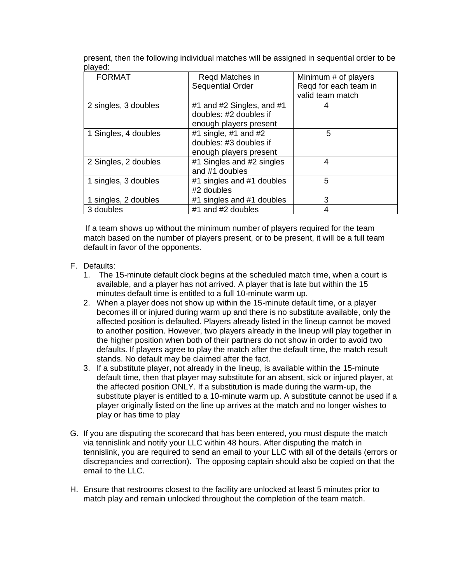present, then the following individual matches will be assigned in sequential order to be played:

| <b>FORMAT</b>        | Regd Matches in           | Minimum # of players  |
|----------------------|---------------------------|-----------------------|
|                      | <b>Sequential Order</b>   | Regd for each team in |
|                      |                           | valid team match      |
| 2 singles, 3 doubles | #1 and #2 Singles, and #1 |                       |
|                      | doubles: #2 doubles if    |                       |
|                      | enough players present    |                       |
| 1 Singles, 4 doubles | #1 single, #1 and $#2$    | 5                     |
|                      | doubles: #3 doubles if    |                       |
|                      | enough players present    |                       |
| 2 Singles, 2 doubles | #1 Singles and #2 singles | 4                     |
|                      | and #1 doubles            |                       |
| 1 singles, 3 doubles | #1 singles and #1 doubles | 5                     |
|                      | #2 doubles                |                       |
| 1 singles, 2 doubles | #1 singles and #1 doubles | 3                     |
| 3 doubles            | #1 and #2 doubles         |                       |

If a team shows up without the minimum number of players required for the team match based on the number of players present, or to be present, it will be a full team default in favor of the opponents.

- F. Defaults:
	- 1. The 15-minute default clock begins at the scheduled match time, when a court is available, and a player has not arrived. A player that is late but within the 15 minutes default time is entitled to a full 10-minute warm up.
	- 2. When a player does not show up within the 15-minute default time, or a player becomes ill or injured during warm up and there is no substitute available, only the affected position is defaulted. Players already listed in the lineup cannot be moved to another position. However, two players already in the lineup will play together in the higher position when both of their partners do not show in order to avoid two defaults. If players agree to play the match after the default time, the match result stands. No default may be claimed after the fact.
	- 3. If a substitute player, not already in the lineup, is available within the 15-minute default time, then that player may substitute for an absent, sick or injured player, at the affected position ONLY. If a substitution is made during the warm-up, the substitute player is entitled to a 10-minute warm up. A substitute cannot be used if a player originally listed on the line up arrives at the match and no longer wishes to play or has time to play
- G. If you are disputing the scorecard that has been entered, you must dispute the match via tennislink and notify your LLC within 48 hours. After disputing the match in tennislink, you are required to send an email to your LLC with all of the details (errors or discrepancies and correction). The opposing captain should also be copied on that the email to the LLC.
- H. Ensure that restrooms closest to the facility are unlocked at least 5 minutes prior to match play and remain unlocked throughout the completion of the team match.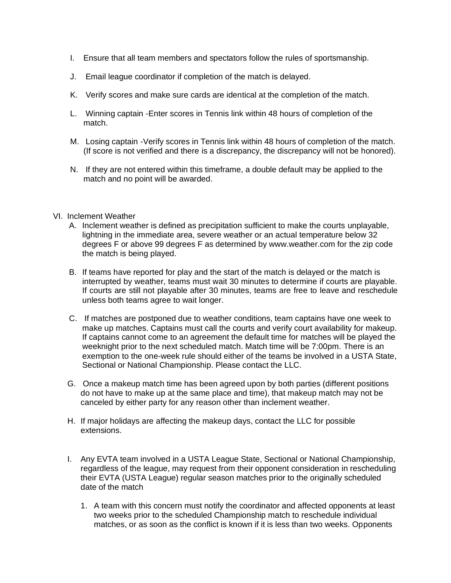- I. Ensure that all team members and spectators follow the rules of sportsmanship.
- J. Email league coordinator if completion of the match is delayed.
- K. Verify scores and make sure cards are identical at the completion of the match.
- L. Winning captain -Enter scores in Tennis link within 48 hours of completion of the match.
- M. Losing captain -Verify scores in Tennis link within 48 hours of completion of the match. (If score is not verified and there is a discrepancy, the discrepancy will not be honored).
- N. If they are not entered within this timeframe, a double default may be applied to the match and no point will be awarded.

#### VI. Inclement Weather

- A. Inclement weather is defined as precipitation sufficient to make the courts unplayable, lightning in the immediate area, severe weather or an actual temperature below 32 degrees F or above 99 degrees F as determined by www.weather.com for the zip code the match is being played.
- B. If teams have reported for play and the start of the match is delayed or the match is interrupted by weather, teams must wait 30 minutes to determine if courts are playable. If courts are still not playable after 30 minutes, teams are free to leave and reschedule unless both teams agree to wait longer.
- C. If matches are postponed due to weather conditions, team captains have one week to make up matches. Captains must call the courts and verify court availability for makeup. If captains cannot come to an agreement the default time for matches will be played the weeknight prior to the next scheduled match. Match time will be 7:00pm. There is an exemption to the one-week rule should either of the teams be involved in a USTA State, Sectional or National Championship. Please contact the LLC.
- G. Once a makeup match time has been agreed upon by both parties (different positions do not have to make up at the same place and time), that makeup match may not be canceled by either party for any reason other than inclement weather.
- H. If major holidays are affecting the makeup days, contact the LLC for possible extensions.
- I. Any EVTA team involved in a USTA League State, Sectional or National Championship, regardless of the league, may request from their opponent consideration in rescheduling their EVTA (USTA League) regular season matches prior to the originally scheduled date of the match
	- 1. A team with this concern must notify the coordinator and affected opponents at least two weeks prior to the scheduled Championship match to reschedule individual matches, or as soon as the conflict is known if it is less than two weeks. Opponents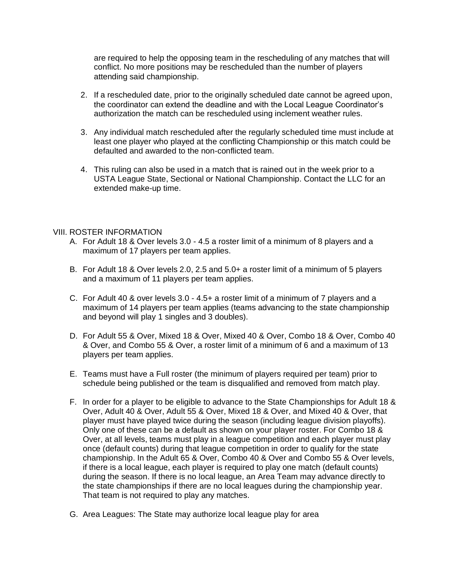are required to help the opposing team in the rescheduling of any matches that will conflict. No more positions may be rescheduled than the number of players attending said championship.

- 2. If a rescheduled date, prior to the originally scheduled date cannot be agreed upon, the coordinator can extend the deadline and with the Local League Coordinator's authorization the match can be rescheduled using inclement weather rules.
- 3. Any individual match rescheduled after the regularly scheduled time must include at least one player who played at the conflicting Championship or this match could be defaulted and awarded to the non-conflicted team.
- 4. This ruling can also be used in a match that is rained out in the week prior to a USTA League State, Sectional or National Championship. Contact the LLC for an extended make-up time.

#### VIII. ROSTER INFORMATION

- A. For Adult 18 & Over levels 3.0 4.5 a roster limit of a minimum of 8 players and a maximum of 17 players per team applies.
- B. For Adult 18 & Over levels 2.0, 2.5 and 5.0+ a roster limit of a minimum of 5 players and a maximum of 11 players per team applies.
- C. For Adult 40 & over levels 3.0 4.5+ a roster limit of a minimum of 7 players and a maximum of 14 players per team applies (teams advancing to the state championship and beyond will play 1 singles and 3 doubles).
- D. For Adult 55 & Over, Mixed 18 & Over, Mixed 40 & Over, Combo 18 & Over, Combo 40 & Over, and Combo 55 & Over, a roster limit of a minimum of 6 and a maximum of 13 players per team applies.
- E. Teams must have a Full roster (the minimum of players required per team) prior to schedule being published or the team is disqualified and removed from match play.
- F. In order for a player to be eligible to advance to the State Championships for Adult 18 & Over, Adult 40 & Over, Adult 55 & Over, Mixed 18 & Over, and Mixed 40 & Over, that player must have played twice during the season (including league division playoffs). Only one of these can be a default as shown on your player roster. For Combo 18 & Over, at all levels, teams must play in a league competition and each player must play once (default counts) during that league competition in order to qualify for the state championship. In the Adult 65 & Over, Combo 40 & Over and Combo 55 & Over levels, if there is a local league, each player is required to play one match (default counts) during the season. If there is no local league, an Area Team may advance directly to the state championships if there are no local leagues during the championship year. That team is not required to play any matches.
- G. Area Leagues: The State may authorize local league play for area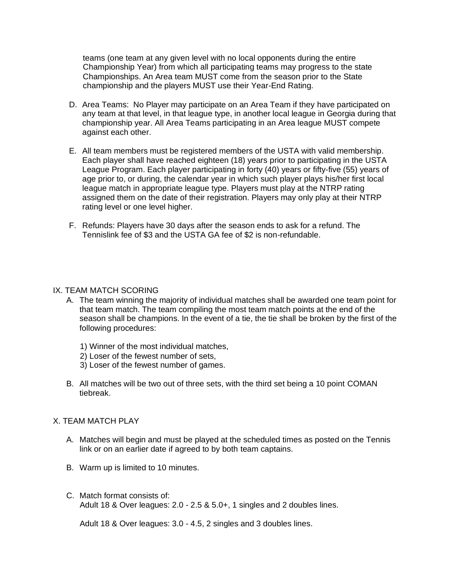teams (one team at any given level with no local opponents during the entire Championship Year) from which all participating teams may progress to the state Championships. An Area team MUST come from the season prior to the State championship and the players MUST use their Year-End Rating.

- D. Area Teams: No Player may participate on an Area Team if they have participated on any team at that level, in that league type, in another local league in Georgia during that championship year. All Area Teams participating in an Area league MUST compete against each other.
- E. All team members must be registered members of the USTA with valid membership. Each player shall have reached eighteen (18) years prior to participating in the USTA League Program. Each player participating in forty (40) years or fifty-five (55) years of age prior to, or during, the calendar year in which such player plays his/her first local league match in appropriate league type. Players must play at the NTRP rating assigned them on the date of their registration. Players may only play at their NTRP rating level or one level higher.
- F. Refunds: Players have 30 days after the season ends to ask for a refund. The Tennislink fee of \$3 and the USTA GA fee of \$2 is non-refundable.

#### IX. TEAM MATCH SCORING

- A. The team winning the majority of individual matches shall be awarded one team point for that team match. The team compiling the most team match points at the end of the season shall be champions. In the event of a tie, the tie shall be broken by the first of the following procedures:
	- 1) Winner of the most individual matches,
	- 2) Loser of the fewest number of sets,
	- 3) Loser of the fewest number of games.
- B. All matches will be two out of three sets, with the third set being a 10 point COMAN tiebreak.

# X. TEAM MATCH PLAY

- A. Matches will begin and must be played at the scheduled times as posted on the Tennis link or on an earlier date if agreed to by both team captains.
- B. Warm up is limited to 10 minutes.
- C. Match format consists of: Adult 18 & Over leagues: 2.0 - 2.5 & 5.0+, 1 singles and 2 doubles lines.

Adult 18 & Over leagues: 3.0 - 4.5, 2 singles and 3 doubles lines.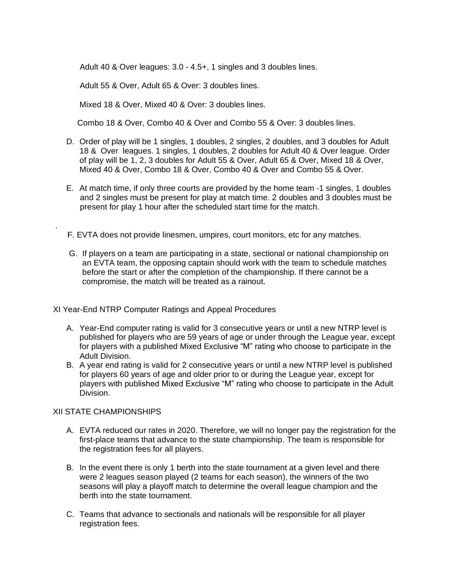Adult 40 & Over leagues: 3.0 - 4.5+, 1 singles and 3 doubles lines.

Adult 55 & Over, Adult 65 & Over: 3 doubles lines.

Mixed 18 & Over, Mixed 40 & Over: 3 doubles lines.

Combo 18 & Over, Combo 40 & Over and Combo 55 & Over: 3 doubles lines.

- D. Order of play will be 1 singles, 1 doubles, 2 singles, 2 doubles, and 3 doubles for Adult 18 & Over leagues. 1 singles, 1 doubles, 2 doubles for Adult 40 & Over league. Order of play will be 1, 2, 3 doubles for Adult 55 & Over, Adult 65 & Over, Mixed 18 & Over, Mixed 40 & Over, Combo 18 & Over, Combo 40 & Over and Combo 55 & Over.
- E. At match time, if only three courts are provided by the home team -1 singles, 1 doubles and 2 singles must be present for play at match time. 2 doubles and 3 doubles must be present for play 1 hour after the scheduled start time for the match.

F. EVTA does not provide linesmen, umpires, court monitors, etc for any matches.

G. If players on a team are participating in a state, sectional or national championship on an EVTA team, the opposing captain should work with the team to schedule matches before the start or after the completion of the championship. If there cannot be a compromise, the match will be treated as a rainout.

XI Year-End NTRP Computer Ratings and Appeal Procedures

- A. Year-End computer rating is valid for 3 consecutive years or until a new NTRP level is published for players who are 59 years of age or under through the League year, except for players with a published Mixed Exclusive "M" rating who choose to participate in the Adult Division.
- B. A year end rating is valid for 2 consecutive years or until a new NTRP level is published for players 60 years of age and older prior to or during the League year, except for players with published Mixed Exclusive "M" rating who choose to participate in the Adult Division.

# XII STATE CHAMPIONSHIPS

.

- A. EVTA reduced our rates in 2020. Therefore, we will no longer pay the registration for the first-place teams that advance to the state championship. The team is responsible for the registration fees for all players.
- B. In the event there is only 1 berth into the state tournament at a given level and there were 2 leagues season played (2 teams for each season), the winners of the two seasons will play a playoff match to determine the overall league champion and the berth into the state tournament.
- C. Teams that advance to sectionals and nationals will be responsible for all player registration fees.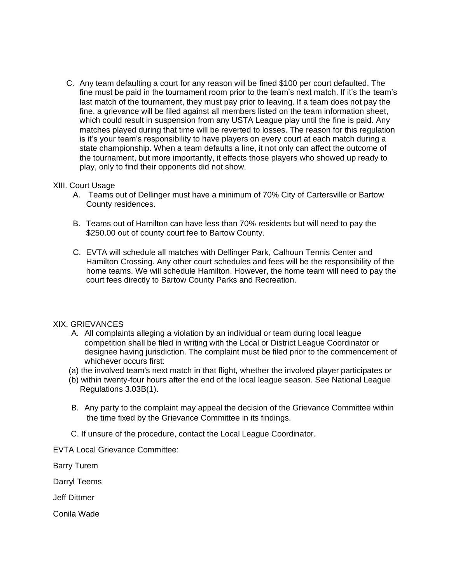C. Any team defaulting a court for any reason will be fined \$100 per court defaulted. The fine must be paid in the tournament room prior to the team's next match. If it's the team's last match of the tournament, they must pay prior to leaving. If a team does not pay the fine, a grievance will be filed against all members listed on the team information sheet, which could result in suspension from any USTA League play until the fine is paid. Any matches played during that time will be reverted to losses. The reason for this regulation is it's your team's responsibility to have players on every court at each match during a state championship. When a team defaults a line, it not only can affect the outcome of the tournament, but more importantly, it effects those players who showed up ready to play, only to find their opponents did not show.

#### XIII. Court Usage

- A. Teams out of Dellinger must have a minimum of 70% City of Cartersville or Bartow County residences.
- B. Teams out of Hamilton can have less than 70% residents but will need to pay the \$250.00 out of county court fee to Bartow County.
- C. EVTA will schedule all matches with Dellinger Park, Calhoun Tennis Center and Hamilton Crossing. Any other court schedules and fees will be the responsibility of the home teams. We will schedule Hamilton. However, the home team will need to pay the court fees directly to Bartow County Parks and Recreation.

# XIX. GRIEVANCES

- A. All complaints alleging a violation by an individual or team during local league competition shall be filed in writing with the Local or District League Coordinator or designee having jurisdiction. The complaint must be filed prior to the commencement of whichever occurs first:
- (a) the involved team's next match in that flight, whether the involved player participates or
- (b) within twenty-four hours after the end of the local league season. See National League Regulations 3.03B(1).
- B. Any party to the complaint may appeal the decision of the Grievance Committee within the time fixed by the Grievance Committee in its findings.
- C. If unsure of the procedure, contact the Local League Coordinator.

EVTA Local Grievance Committee:

Barry Turem

Darryl Teems

Jeff Dittmer

Conila Wade